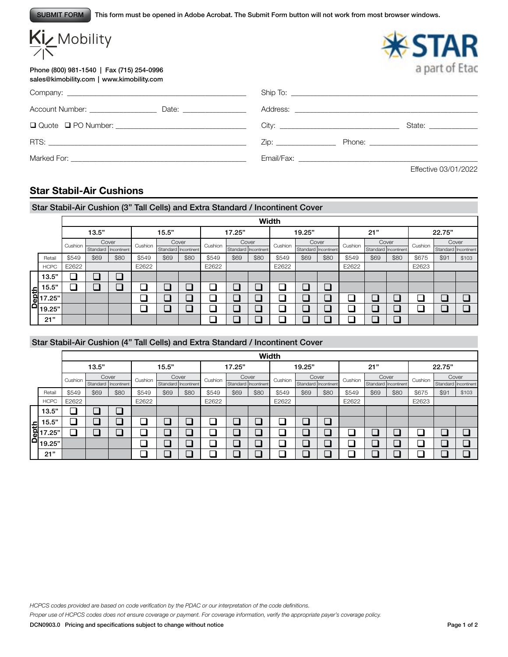This form must be opened in Adobe Acrobat. The Submit Form button will not work from most browser windows. SUBMIT FORM

| Kiz Mobility                                                                           |  |                                                                                                                                                                                                                                | a part of Etac                                                                                                                                                                                                                |
|----------------------------------------------------------------------------------------|--|--------------------------------------------------------------------------------------------------------------------------------------------------------------------------------------------------------------------------------|-------------------------------------------------------------------------------------------------------------------------------------------------------------------------------------------------------------------------------|
| Phone (800) 981-1540   Fax (715) 254-0996<br>sales@kimobility.com   www.kimobility.com |  |                                                                                                                                                                                                                                |                                                                                                                                                                                                                               |
|                                                                                        |  |                                                                                                                                                                                                                                |                                                                                                                                                                                                                               |
|                                                                                        |  |                                                                                                                                                                                                                                |                                                                                                                                                                                                                               |
|                                                                                        |  |                                                                                                                                                                                                                                | State: ________________                                                                                                                                                                                                       |
|                                                                                        |  |                                                                                                                                                                                                                                | Zip: Phone: Phone: Phone: Phone: Phone: Phone: Phone: Phone: Phone: Phone: Phone: Phone: Phone: Phone: Phone: Phone: Phone: Phone: Phone: Phone: Phone: Phone: Phone: Phone: Phone: Phone: Phone: Phone: Phone: Phone: Phone: |
|                                                                                        |  | Email/Fax: The contract of the contract of the contract of the contract of the contract of the contract of the contract of the contract of the contract of the contract of the contract of the contract of the contract of the |                                                                                                                                                                                                                               |
|                                                                                        |  |                                                                                                                                                                                                                                | Effective 03/01/2022                                                                                                                                                                                                          |

# **Star Stabil-Air Cushions**

## Star Stabil-Air Cushion (3" Tall Cells) and Extra Standard / Incontinent Cover

|                                                                                             |         |                              |      |         |                              |      |         |                               | Width |         |                               |      |         |                              |      |         |                                |       |  |
|---------------------------------------------------------------------------------------------|---------|------------------------------|------|---------|------------------------------|------|---------|-------------------------------|-------|---------|-------------------------------|------|---------|------------------------------|------|---------|--------------------------------|-------|--|
|                                                                                             |         | 13.5"                        |      |         | 15.5"                        |      |         | 17.25"                        |       |         | 19.25"                        |      | 21"     |                              |      | 22.75"  |                                |       |  |
|                                                                                             | Cushion | Cover                        |      | Cushion | Cover                        |      | Cushion | Cover<br>Standard Incontinent |       | Cushion | Cover<br>Standard Incontinent |      | Cushion | Cover                        |      | Cushion |                                | Cover |  |
| Retail                                                                                      | \$549   | Standard Incontinent<br>\$69 | \$80 | \$549   | Standard Incontinent<br>\$69 | \$80 | \$549   | \$69                          | \$80  | \$549   | \$69                          | \$80 | \$549   | Standard Incontinent<br>\$69 | \$80 | \$675   | Standard   Incontinent<br>\$91 | \$103 |  |
| <b>HCPC</b>                                                                                 | E2622   |                              |      | E2622   |                              |      | E2622   |                               |       | E2622   |                               |      | E2622   |                              |      | E2623   |                                |       |  |
| 13.5"                                                                                       |         |                              |      |         |                              |      |         |                               |       |         |                               |      |         |                              |      |         |                                |       |  |
| 15.5"                                                                                       |         |                              |      |         |                              |      |         |                               |       |         | ▁                             | ר    |         |                              |      |         |                                |       |  |
| $\begin{array}{r} \n\text{f} & 15.5 \\ \hline\n6 & 17.25 \\ \hline\n0 & 19.25\n\end{array}$ |         |                              |      |         |                              |      |         |                               |       |         | コ                             |      |         |                              |      |         |                                |       |  |
|                                                                                             |         |                              |      |         |                              |      |         |                               |       |         | $\Box$                        |      |         |                              |      |         |                                |       |  |
| 21"                                                                                         |         |                              |      |         |                              |      | Ξ       |                               |       |         |                               |      |         |                              |      |         |                                |       |  |

### Star Stabil-Air Cushion (4" Tall Cells) and Extra Standard / Incontinent Cover

|       |             |         |       |                      |         |                      |      |         |                      | Width                    |         |                          |      |         |                      |      |         |                      |       |
|-------|-------------|---------|-------|----------------------|---------|----------------------|------|---------|----------------------|--------------------------|---------|--------------------------|------|---------|----------------------|------|---------|----------------------|-------|
|       |             |         | 13.5" |                      |         | 15.5"                |      |         | 17.25"               |                          |         | 19.25"                   |      |         | 21"                  |      | 22.75"  |                      |       |
|       |             | Cushion |       | Cover                | Cushion | Cover                |      | Cushion | Cover                |                          | Cushion | Cover                    |      | Cushion | Cover                |      | Cushion | Cover                |       |
|       |             |         |       | Standard Incontinent |         | Standard Incontinent |      |         | Standard Incontinent |                          |         | Standard Incontinent     |      |         | Standard Incontinent |      |         | Standard Incontinent |       |
|       | Retail      | \$549   | \$69  | \$80                 | \$549   | \$69                 | \$80 | \$549   | \$69                 | \$80                     | \$549   | \$69                     | \$80 | \$549   | \$69                 | \$80 | \$675   | \$91                 | \$103 |
|       | <b>HCPC</b> | E2622   |       |                      | E2622   |                      |      | E2622   |                      |                          |         |                          |      | E2622   |                      |      | E2623   |                      |       |
|       | 13.5"       |         |       |                      |         |                      |      |         |                      |                          |         |                          |      |         |                      |      |         |                      |       |
|       | 15.5"       |         |       |                      |         |                      |      |         |                      | $\overline{\phantom{a}}$ | a,      | $\overline{\phantom{a}}$ |      |         |                      |      |         |                      |       |
| Depth | 7.25"       |         |       |                      |         |                      |      |         |                      | I                        |         | I                        |      |         |                      |      |         |                      |       |
|       | 19.25"      |         |       |                      |         |                      |      |         |                      | $\overline{\phantom{a}}$ | ┚       | $\overline{\phantom{a}}$ |      |         |                      |      |         |                      |       |
|       | 21"         |         |       |                      |         |                      |      |         |                      |                          |         |                          |      |         |                      |      |         |                      |       |

*HCPCS codes provided are based on code verification by the PDAC or our interpretation of the code definitions.*

*Proper use of HCPCS codes does not ensure coverage or payment. For coverage information, verify the appropriate payer's coverage policy.*